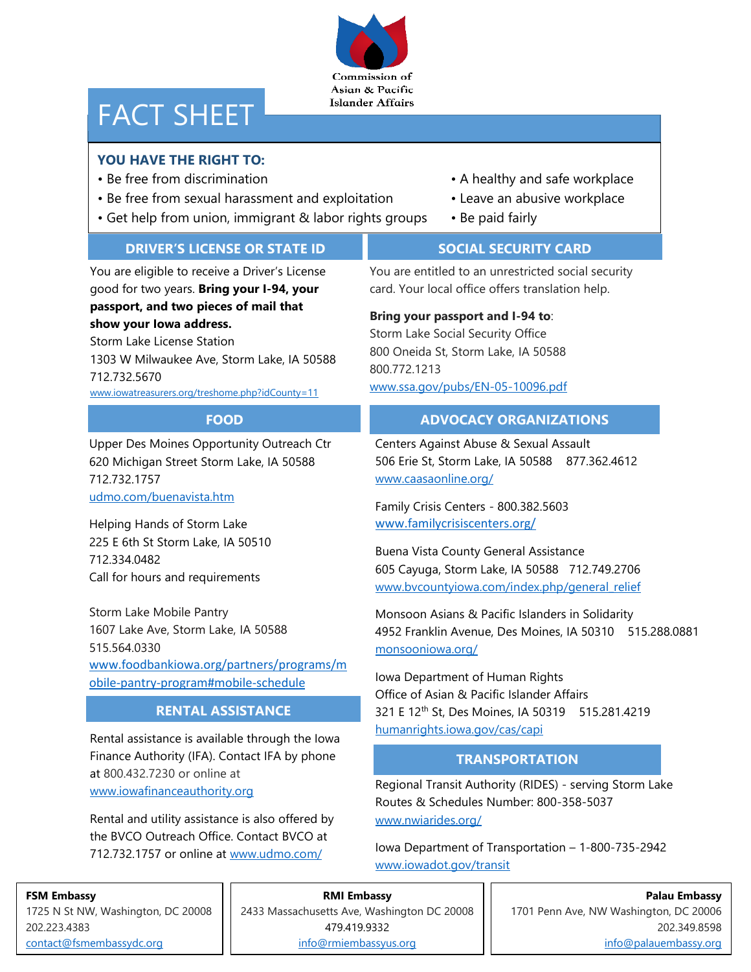## Commission of Asian & Pacific **Islander Affairs**

# FACT SHEET

# **YOU HAVE THE RIGHT TO:**

- 
- Be free from sexual harassment and exploitation Leave an abusive workplace
- Get help from union, immigrant & labor rights groups Be paid fairly
- Be free from discrimination  **A** healthy and safe workplace
	-
	-

## **DRIVER'S LICENSE OR STATE ID**

You are eligible to receive a Driver's License good for two years. **Bring your I-94, your passport, and two pieces of mail that show your Iowa address.**

Storm Lake License Station 1303 W Milwaukee Ave, Storm Lake, IA 50588 712.732.5670 [www.iowatreasurers.org/treshome.php?idCounty=11](https://www.iowatreasurers.org/treshome.php?idCounty=11)

## **FOOD**

Upper Des Moines Opportunity Outreach Ctr 620 Michigan Street Storm Lake, IA 50588 712.732.1757 [udmo.com/buenavista.htm](http://udmo.com/buenavista.htm)

Helping Hands of Storm Lake 225 E 6th St Storm Lake, IA 50510 712.334.0482 Call for hours and requirements

Storm Lake Mobile Pantry 1607 Lake Ave, Storm Lake, IA 50588 515.564.0330 [www.foodbankiowa.org/partners/programs/m](https://www.foodbankiowa.org/partners/programs/mobile-pantry-program#mobile-schedule) [obile-pantry-program#mobile-schedule](https://www.foodbankiowa.org/partners/programs/mobile-pantry-program#mobile-schedule)

# **RENTAL ASSISTANCE**

Rental assistance is available through the Iowa Finance Authority (IFA). Contact IFA by phone at 800.432.7230 or online at [www.iowafinanceauthority.org](http://www.iowafinanceauthority.org/)

Rental and utility assistance is also offered by the BVCO Outreach Office. Contact BVCO at 712.732.1757 or online at [www.udmo.com/](http://www.udmo.com/)

# **SOCIAL SECURITY CARD**

You are entitled to an unrestricted social security card. Your local office offers translation help.

## **Bring your passport and I-94 to**:

Storm Lake Social Security Office 800 Oneida St, Storm Lake, IA 50588 800.772.1213 [www.ssa.gov/pubs/EN-05-10096.pdf](http://www.ssa.gov/pubs/EN-05-10096.pdf)

## **ADVOCACY ORGANIZATIONS**

Centers Against Abuse & Sexual Assault 506 Erie St, Storm Lake, IA 50588 877.362.4612 [www.caasaonline.org/](https://www.caasaonline.org/)

Family Crisis Centers - 800.382.5603 [www.familycrisiscenters.org/](http://www.familycrisiscenters.org/)

Buena Vista County General Assistance 605 Cayuga, Storm Lake, IA 50588 712.749.2706 [www.bvcountyiowa.com/index.php/general\\_relief](https://www.bvcountyiowa.com/index.php/general_relief)

Monsoon Asians & Pacific Islanders in Solidarity 4952 Franklin Avenue, Des Moines, IA 50310 515.288.0881 [monsooniowa.org/](https://monsooniowa.org/)

Iowa Department of Human Rights Office of Asian & Pacific Islander Affairs 321 E 12th St, Des Moines, IA 50319 515.281.4219 [humanrights.iowa.gov/cas/capi](https://humanrights.iowa.gov/cas/capi)

# **TRANSPORTATION**

Regional Transit Authority (RIDES) - serving Storm Lake Routes & Schedules Number: 800-358-5037 <www.nwiarides.org/>

Iowa Department of Transportation – 1-800-735-2942 <www.iowadot.gov/transit>

## **FSM Embassy**

1725 N St NW, Washington, DC 20008 202.223.4383 [contact@fsmembassydc.org](file://///iowa.gov.state.ia.us/data/dhrusers/Rlaudic/Chrome/Downloads/contact@fsmembassydc.org)

## **RMI Embassy**

2433 Massachusetts Ave, Washington DC 20008 479.419.9332 [info@rmiembassyus.org](file://///iowa.gov.state.ia.us/data/dhrusers/Rlaudic/Chrome/Downloads/info@rmiembassyus.org)

**Palau Embassy** 1701 Penn Ave, NW Washington, DC 20006 202.349.8598 [info@palauembassy.org](file://///iowa.gov.state.ia.us/data/dhrusers/Rlaudic/Chrome/Downloads/info@palauembassy.org)